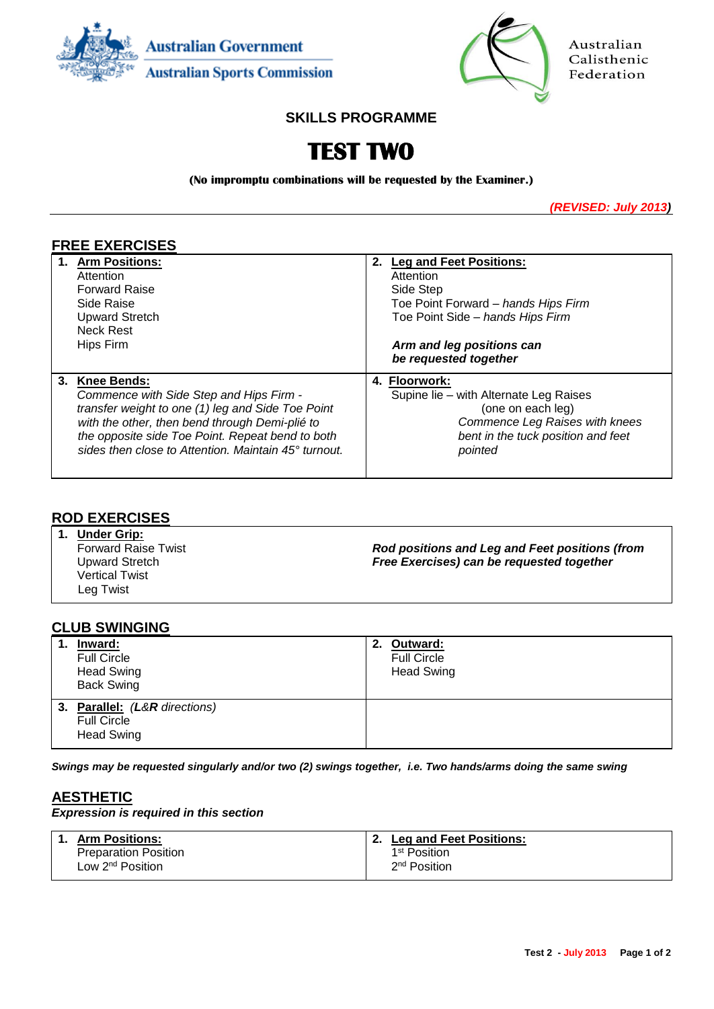



Australian Calisthenic Federation

# **SKILLS PROGRAMME**

# **TEST TWO**

**(No impromptu combinations will be requested by the Examiner.)**

*(REVISED: July 2013)*

# **FREE EXERCISES**

| 1. Arm Positions:                                    | 2. Leg and Feet Positions:             |
|------------------------------------------------------|----------------------------------------|
| Attention                                            | Attention                              |
| <b>Forward Raise</b>                                 | Side Step                              |
| Side Raise                                           | Toe Point Forward – hands Hips Firm    |
| <b>Upward Stretch</b>                                | Toe Point Side - hands Hips Firm       |
| Neck Rest                                            |                                        |
| Hips Firm                                            | Arm and leg positions can              |
|                                                      | be requested together                  |
| 3. Knee Bends:                                       | 4. Floorwork:                          |
| Commence with Side Step and Hips Firm -              | Supine lie – with Alternate Leg Raises |
| transfer weight to one (1) leg and Side Toe Point    | (one on each leg)                      |
| with the other, then bend through Demi-plié to       | Commence Leg Raises with knees         |
| the opposite side Toe Point. Repeat bend to both     | bent in the tuck position and feet     |
| sides then close to Attention. Maintain 45° turnout. | pointed                                |
|                                                      |                                        |

#### **ROD EXERCISES**

**1. Under Grip:** Forward Raise Twist Upward Stretch Vertical Twist Leg Twist *Rod positions and Leg and Feet positions (from Free Exercises) can be requested together*

## **CLUB SWINGING**

| 1. | Inward:<br><b>Full Circle</b><br><b>Head Swing</b><br><b>Back Swing</b>  | 2. | Outward:<br><b>Full Circle</b><br><b>Head Swing</b> |
|----|--------------------------------------------------------------------------|----|-----------------------------------------------------|
|    | 3. Parallel: (L&R directions)<br><b>Full Circle</b><br><b>Head Swing</b> |    |                                                     |

*Swings may be requested singularly and/or two (2) swings together, i.e. Two hands/arms doing the same swing*

## **AESTHETIC**

#### *Expression is required in this section*

| 1. Arm Positions:            | Leg and Feet Positions:  |
|------------------------------|--------------------------|
| <b>Preparation Position</b>  | 1 <sup>st</sup> Position |
| Low 2 <sup>nd</sup> Position | 2 <sup>nd</sup> Position |
|                              |                          |